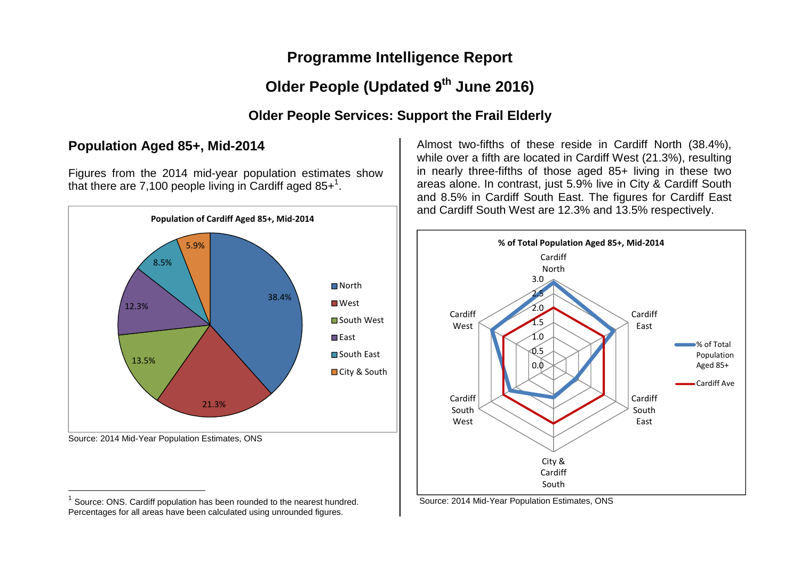## **Programme Intelligence Report**

# **Older People (Updated 9th June 2016)**

## **Older People Services: Support the Frail Elderly**

## **Population Aged 85+, Mid-2014**

Figures from the 2014 mid-year population estimates show that there are 7,100 people living in Cardiff aged  $85+^1$ .



 $1$  Source: ONS. Cardiff population has been rounded to the nearest hundred. Percentages for all areas have been calculated using unrounded figures.

Almost two-fifths of these reside in Cardiff North (38.4%), while over a fifth are located in Cardiff West (21.3%), resulting in nearly three-fifths of those aged 85+ living in these two areas alone. In contrast, just 5.9% live in City & Cardiff South and 8.5% in Cardiff South East. The figures for Cardiff East and Cardiff South West are 12.3% and 13.5% respectively.



Source: 2014 Mid-Year Population Estimates, ONS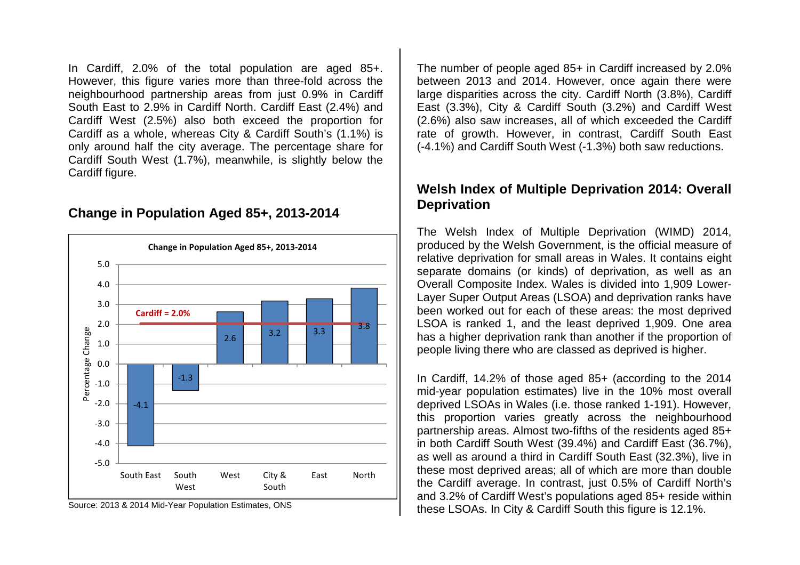In Cardiff, 2.0% of the total population are aged 85+. However, this figure varies more than three-fold across the neighbourhood partnership areas from just 0.9% in Cardiff South East to 2.9% in Cardiff North. Cardiff East (2.4%) and Cardiff West (2.5%) also both exceed the proportion for Cardiff as a whole, whereas City & Cardiff South's (1.1%) is only around half the city average. The percentage share for Cardiff South West (1.7%), meanwhile, is slightly below the Cardiff figure.

### **Change in Population Aged 85+, 2013-2014**



Source: 2013 & 2014 Mid-Year Population Estimates, ONS

The number of people aged 85+ in Cardiff increased by 2.0% between 2013 and 2014. However, once again there were large disparities across the city. Cardiff North (3.8%), Cardiff East (3.3%), City & Cardiff South (3.2%) and Cardiff West (2.6%) also saw increases, all of which exceeded the Cardiff rate of growth. However, in contrast, Cardiff South East (-4.1%) and Cardiff South West (-1.3%) both saw reductions.

### **Welsh Index of Multiple Deprivation 2014: Overall Deprivation**

The Welsh Index of Multiple Deprivation (WIMD) 2014, produced by the Welsh Government, is the official measure of relative deprivation for small areas in Wales. It contains eight separate domains (or kinds) of deprivation, as well as an Overall Composite Index. Wales is divided into 1,909 Lower-Layer Super Output Areas (LSOA) and deprivation ranks have been worked out for each of these areas: the most deprived LSOA is ranked 1, and the least deprived 1,909. One area has a higher deprivation rank than another if the proportion of people living there who are classed as deprived is higher.

In Cardiff, 14.2% of those aged 85+ (according to the 2014 mid-year population estimates) live in the 10% most overall deprived LSOAs in Wales (i.e. those ranked 1-191). However, this proportion varies greatly across the neighbourhood partnership areas. Almost two-fifths of the residents aged 85+ in both Cardiff South West (39.4%) and Cardiff East (36.7%), as well as around a third in Cardiff South East (32.3%), live in these most deprived areas; all of which are more than double the Cardiff average. In contrast, just 0.5% of Cardiff North's and 3.2% of Cardiff West's populations aged 85+ reside within these LSOAs. In City & Cardiff South this figure is 12.1%.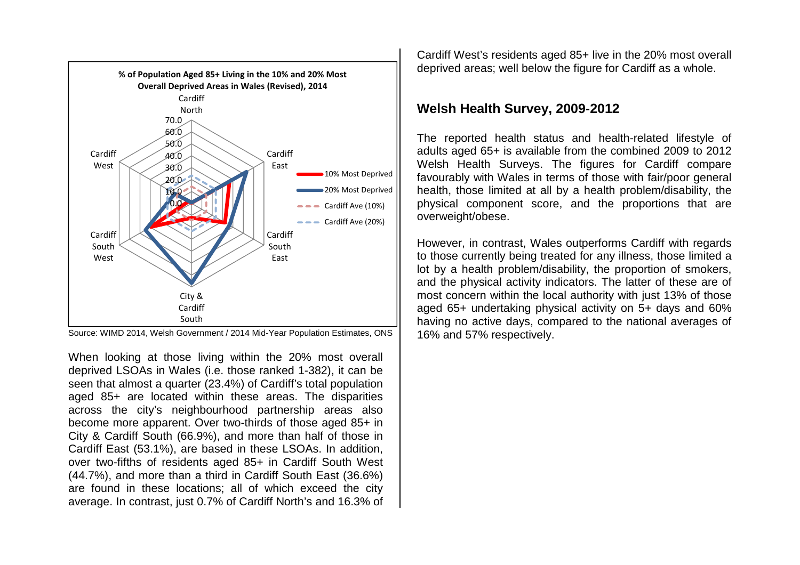

Source: WIMD 2014, Welsh Government / 2014 Mid-Year Population Estimates, ONS

When looking at those living within the 20% most overall deprived LSOAs in Wales (i.e. those ranked 1-382), it can be seen that almost a quarter (23.4%) of Cardiff's total population aged 85+ are located within these areas. The disparities across the city's neighbourhood partnership areas also become more apparent. Over two-thirds of those aged 85+ in City & Cardiff South (66.9%), and more than half of those in Cardiff East (53.1%), are based in these LSOAs. In addition, over two-fifths of residents aged 85+ in Cardiff South West (44.7%), and more than a third in Cardiff South East (36.6%) are found in these locations; all of which exceed the city average. In contrast, just 0.7% of Cardiff North's and 16.3% of Cardiff West's residents aged 85+ live in the 20% most overall deprived areas; well below the figure for Cardiff as a whole.

## **Welsh Health Survey, 2009-2012**

The reported health status and health-related lifestyle of adults aged 65+ is available from the combined 2009 to 2012 Welsh Health Surveys. The figures for Cardiff compare favourably with Wales in terms of those with fair/poor general health, those limited at all by a health problem/disability, the physical component score, and the proportions that are overweight/obese.

However, in contrast, Wales outperforms Cardiff with regards to those currently being treated for any illness, those limited a lot by a health problem/disability, the proportion of smokers, and the physical activity indicators. The latter of these are of most concern within the local authority with just 13% of those aged 65+ undertaking physical activity on 5+ days and 60% having no active days, compared to the national averages of 16% and 57% respectively.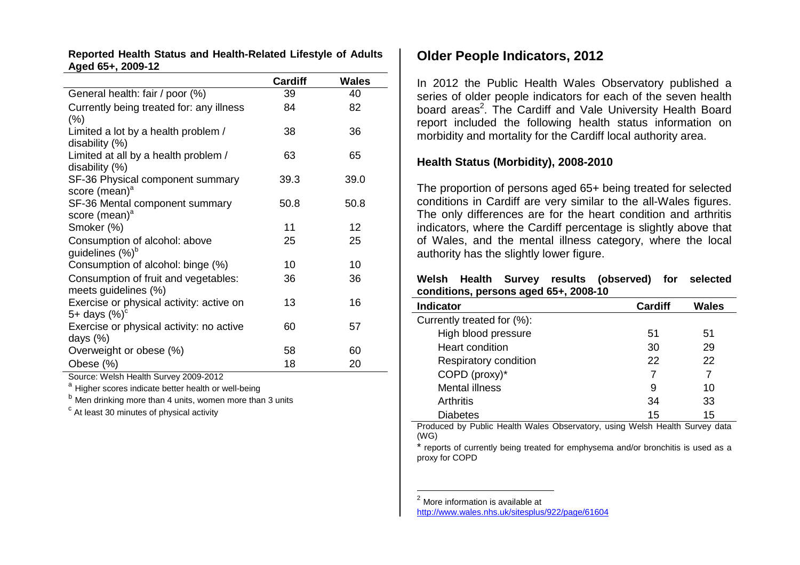#### **Reported Health Status and Health-Related Lifestyle of Adults Aged 65+, 2009-12**

|                                          | <b>Cardiff</b> | <b>Wales</b> |
|------------------------------------------|----------------|--------------|
| General health: fair / poor (%)          | 39             | 40           |
| Currently being treated for: any illness | 84             | 82           |
| $(\% )$                                  |                |              |
| Limited a lot by a health problem /      | 38             | 36           |
| disability (%)                           |                |              |
| Limited at all by a health problem /     | 63             | 65           |
| disability (%)                           |                |              |
| SF-36 Physical component summary         | 39.3           | 39.0         |
| score (mean) <sup>a</sup>                |                |              |
| SF-36 Mental component summary           | 50.8           | 50.8         |
| score (mean) <sup>a</sup>                |                |              |
| Smoker (%)                               | 11             | 12           |
| Consumption of alcohol: above            | 25             | 25           |
| guidelines (%) <sup>b</sup>              |                |              |
| Consumption of alcohol: binge (%)        | 10             | 10           |
| Consumption of fruit and vegetables:     | 36             | 36           |
| meets guidelines (%)                     |                |              |
| Exercise or physical activity: active on | 13             | 16           |
| 5+ days $(\%)^c$                         |                |              |
| Exercise or physical activity: no active | 60             | 57           |
| days $(\%)$                              |                |              |
| Overweight or obese (%)                  | 58             | 60           |
| Obese (%)                                | 18             | 20           |

Source: Welsh Health Survey 2009-2012

<sup>a</sup> Higher scores indicate better health or well-being a

<sup>b</sup> Men drinking more than 4 units, women more than 3 units

 $c$  At least 30 minutes of physical activity

### **Older People Indicators, 2012**

In 2012 the Public Health Wales Observatory published a series of older people indicators for each of the seven health board areas<sup>2</sup>. The Cardiff and Vale University Health Board report included the following health status information on morbidity and mortality for the Cardiff local authority area.

#### **Health Status (Morbidity), 2008-2010**

The proportion of persons aged 65+ being treated for selected conditions in Cardiff are very similar to the all-Wales figures. The only differences are for the heart condition and arthritis indicators, where the Cardiff percentage is slightly above that of Wales, and the mental illness category, where the local authority has the slightly lower figure.

#### **Welsh Health Survey results (observed) for selectedconditions, persons aged 65+, 2008-10**

| <b>Indicator</b>           | <b>Cardiff</b> | <b>Wales</b> |
|----------------------------|----------------|--------------|
| Currently treated for (%): |                |              |
| High blood pressure        | 51             | 51           |
| <b>Heart condition</b>     | 30             | 29           |
| Respiratory condition      | 22             | 22           |
| COPD (proxy)*              |                | 7            |
| <b>Mental illness</b>      | 9              | 10           |
| <b>Arthritis</b>           | 34             | 33           |
| Diabetes                   | 15             | 15           |

 Produced by Public Health Wales Observatory, using Welsh Health Survey data (WG)

 \* reports of currently being treated for emphysema and/or bronchitis is used as a proxy for COPD

 $<sup>2</sup>$  More information is available at</sup>

http://www.wales.nhs.uk/sitesplus/922/page/61604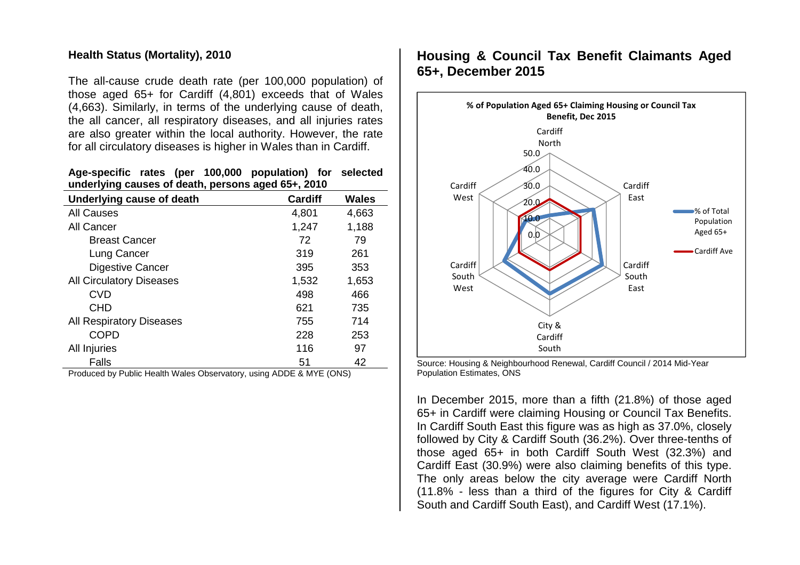#### **Health Status (Mortality), 2010**

The all-cause crude death rate (per 100,000 population) of those aged 65+ for Cardiff (4,801) exceeds that of Wales (4,663). Similarly, in terms of the underlying cause of death, the all cancer, all respiratory diseases, and all injuries rates are also greater within the local authority. However, the rate for all circulatory diseases is higher in Wales than in Cardiff.

#### **Age-specific rates (per 100,000 population) for selected underlying causes of death, persons aged 65+, 2010**

| Underlying cause of death       | <b>Cardiff</b> | <b>Wales</b> |
|---------------------------------|----------------|--------------|
| <b>All Causes</b>               | 4,801          | 4,663        |
| All Cancer                      | 1,247          | 1,188        |
| <b>Breast Cancer</b>            | 72             | 79           |
| Lung Cancer                     | 319            | 261          |
| Digestive Cancer                | 395            | 353          |
| <b>All Circulatory Diseases</b> | 1,532          | 1,653        |
| <b>CVD</b>                      | 498            | 466          |
| <b>CHD</b>                      | 621            | 735          |
| <b>All Respiratory Diseases</b> | 755            | 714          |
| <b>COPD</b>                     | 228            | 253          |
| All Injuries                    | 116            | 97           |
| Falls                           | 51             | 42           |

Produced by Public Health Wales Observatory, using ADDE & MYE (ONS)

## **Housing & Council Tax Benefit Claimants Aged 65+, December 2015**



Source: Housing & Neighbourhood Renewal, Cardiff Council / 2014 Mid-Year Population Estimates, ONS

In December 2015, more than a fifth (21.8%) of those aged 65+ in Cardiff were claiming Housing or Council Tax Benefits. In Cardiff South East this figure was as high as 37.0%, closely followed by City & Cardiff South (36.2%). Over three-tenths of those aged 65+ in both Cardiff South West (32.3%) and Cardiff East (30.9%) were also claiming benefits of this type. The only areas below the city average were Cardiff North (11.8% - less than a third of the figures for City & Cardiff South and Cardiff South East), and Cardiff West (17.1%).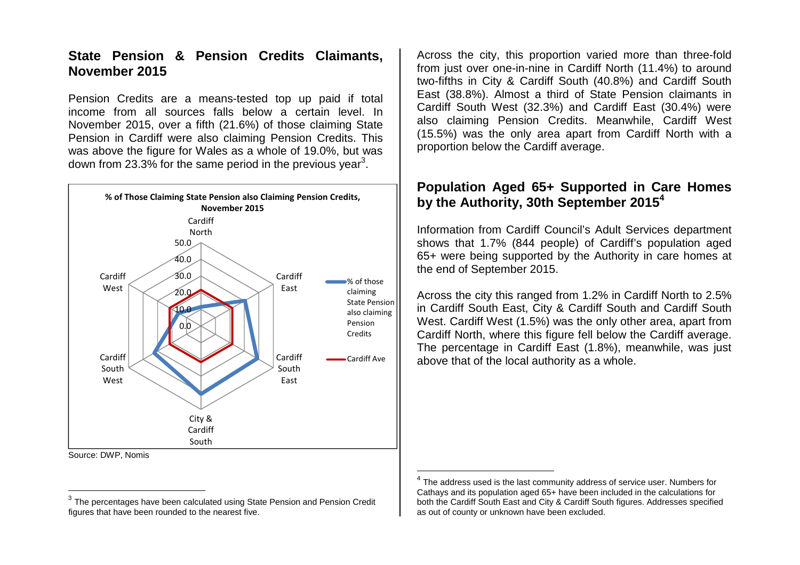## **State Pension & Pension Credits Claimants, November 2015**

Pension Credits are a means-tested top up paid if total income from all sources falls below a certain level. In November 2015, over a fifth (21.6%) of those claiming State Pension in Cardiff were also claiming Pension Credits. This was above the figure for Wales as a whole of 19.0%, but was down from 23.3% for the same period in the previous year<sup>3</sup>.



Source: DWP, Nomis

Across the city, this proportion varied more than three-fold from just over one-in-nine in Cardiff North (11.4%) to around two-fifths in City & Cardiff South (40.8%) and Cardiff South East (38.8%). Almost a third of State Pension claimants in Cardiff South West (32.3%) and Cardiff East (30.4%) were also claiming Pension Credits. Meanwhile, Cardiff West (15.5%) was the only area apart from Cardiff North with a proportion below the Cardiff average.

## **Population Aged 65+ Supported in Care Homes by the Authority, 30th September 20154**

Information from Cardiff Council's Adult Services department shows that 1.7% (844 people) of Cardiff's population aged 65+ were being supported by the Authority in care homes at the end of September 2015.

Across the city this ranged from 1.2% in Cardiff North to 2.5% in Cardiff South East, City & Cardiff South and Cardiff South West. Cardiff West (1.5%) was the only other area, apart from Cardiff North, where this figure fell below the Cardiff average. The percentage in Cardiff East (1.8%), meanwhile, was just above that of the local authority as a whole.

 $^3$  The percentages have been calculated using State Pension and Pension Credit figures that have been rounded to the nearest five.

 $<sup>4</sup>$  The address used is the last community address of service user. Numbers for</sup> Cathays and its population aged 65+ have been included in the calculations for both the Cardiff South East and City & Cardiff South figures. Addresses specified as out of county or unknown have been excluded.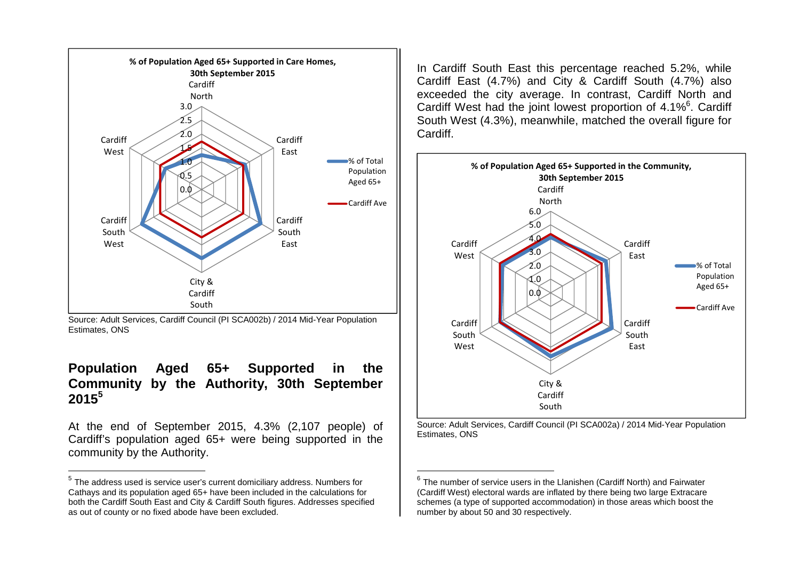

Source: Adult Services, Cardiff Council (PI SCA002b) / 2014 Mid-Year Population Estimates, ONS

## **Population Aged 65+ Supported in the Community by the Authority, 30th September 2015<sup>5</sup>**

At the end of September 2015, 4.3% (2,107 people) of Cardiff's population aged 65+ were being supported in the community by the Authority.

In Cardiff South East this percentage reached 5.2%, while Cardiff East (4.7%) and City & Cardiff South (4.7%) also exceeded the city average. In contrast, Cardiff North and Cardiff West had the joint lowest proportion of  $4.1\%$ <sup>6</sup>. Cardiff South West (4.3%), meanwhile, matched the overall figure for Cardiff.



Source: Adult Services, Cardiff Council (PI SCA002a) / 2014 Mid-Year Population Estimates, ONS

 $^5$  The address used is service user's current domiciliary address. Numbers for Cathays and its population aged 65+ have been included in the calculations for both the Cardiff South East and City & Cardiff South figures. Addresses specified as out of county or no fixed abode have been excluded.

 $^6$  The number of service users in the Llanishen (Cardiff North) and Fairwater (Cardiff West) electoral wards are inflated by there being two large Extracare schemes (a type of supported accommodation) in those areas which boost the number by about 50 and 30 respectively.